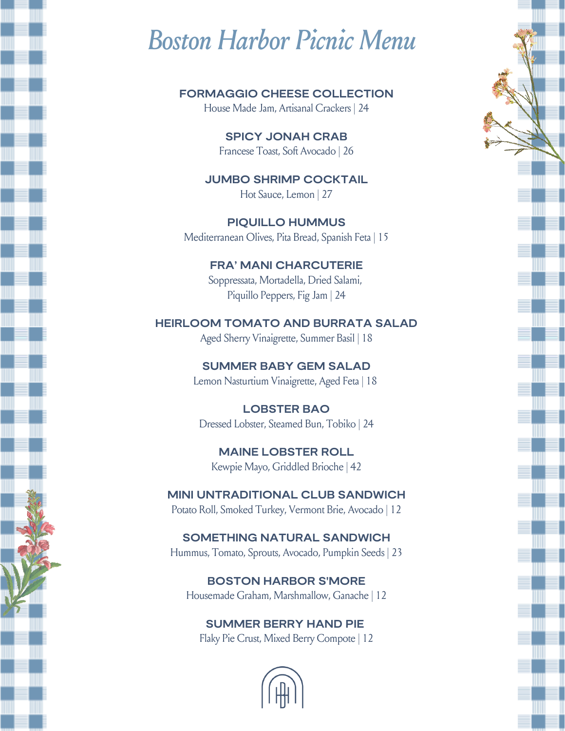## *Boston Harbor Picnic Menu*

### **FORMAGGIO CHEESE COLLECTION**

House Made Jam, Artisanal Crackers | 24

 **SPICY JONAH CRAB** Francese Toast, Soft Avocado | 26

 **JUMBO SHRIMP COCKTAIL** Hot Sauce, Lemon | 27

 Mediterranean Olives, Pita Bread, Spanish Feta | 15 **PIQUILLO HUMMUS**

> **FRA' MANI CHARCUTERIE** Soppressata, Mortadella, Dried Salami, Piquillo Peppers, Fig Jam | 24

 **HEIRLOOM TOMATO AND BURRATA SALAD** Aged Sherry Vinaigrette, Summer Basil | 18

> **SUMMER BABY GEM SALAD** Lemon Nasturtium Vinaigrette, Aged Feta | 18

 Dressed Lobster, Steamed Bun, Tobiko | 24 **LOBSTER BAO**

 Kewpie Mayo, Griddled Brioche | 42 **MAINE LOBSTER ROLL**

 **MINI UNTRADITIONAL CLUB SANDWICH** Potato Roll, Smoked Turkey, Vermont Brie, Avocado | 12

 Hummus, Tomato, Sprouts, Avocado, Pumpkin Seeds | 23 **SOMETHING NATURAL SANDWICH**

 **BOSTON HARBOR S'MORE** Housemade Graham, Marshmallow, Ganache | 12

 **SUMMER BERRY HAND PIE** Flaky Pie Crust, Mixed Berry Compote | 12

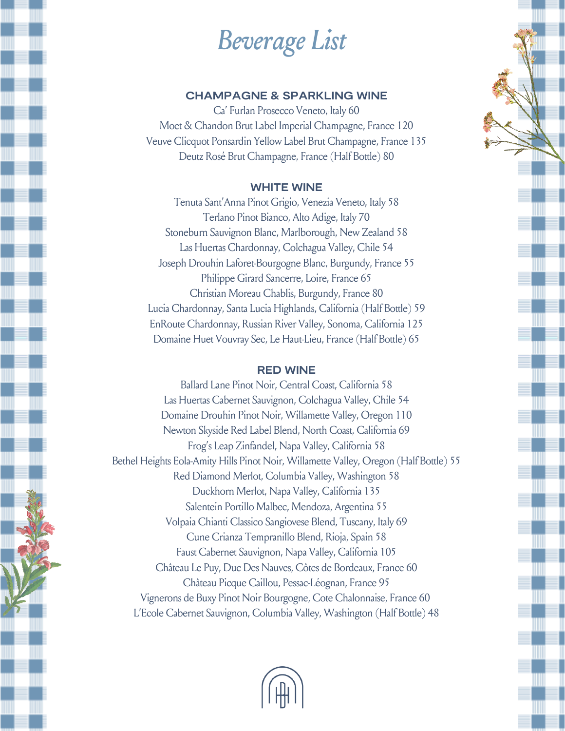## *Beverage List*

#### **CHAMPAGNE & SPARKLING WINE**

 Ca' Furlan Prosecco Veneto, Italy 60 Moet & Chandon Brut Label Imperial Champagne, France 120 Veuve Clicquot Ponsardin Yellow Label Brut Champagne, France 135 Deutz Rosé Brut Champagne, France (Half Bottle) 80

#### **WHITE WINE**

 Tenuta Sant'Anna Pinot Grigio, Venezia Veneto, Italy 58 Terlano Pinot Bianco, Alto Adige, Italy 70 Stoneburn Sauvignon Blanc, Marlborough, New Zealand 58 Las Huertas Chardonnay, Colchagua Valley, Chile 54 Joseph Drouhin Laforet-Bourgogne Blanc, Burgundy, France 55 Philippe Girard Sancerre, Loire, France 65 Christian Moreau Chablis, Burgundy, France 80 Lucia Chardonnay, Santa Lucia Highlands, California (Half Bottle) 59 EnRoute Chardonnay, Russian River Valley, Sonoma, California 125 Domaine Huet Vouvray Sec, Le Haut-Lieu, France (Half Bottle) 65

#### **RED WINE**

 Ballard Lane Pinot Noir, Central Coast, California 58 Las Huertas Cabernet Sauvignon, Colchagua Valley, Chile 54 Domaine Drouhin Pinot Noir, Willamette Valley, Oregon 110 Newton Skyside Red Label Blend, North Coast, California 69 Frog's Leap Zinfandel, Napa Valley, California 58 Bethel Heights Eola-Amity Hills Pinot Noir, Willamette Valley, Oregon (Half Bottle) 55 Red Diamond Merlot, Columbia Valley, Washington 58 Duckhorn Merlot, Napa Valley, California 135 Salentein Portillo Malbec, Mendoza, Argentina 55 Volpaia Chianti Classico Sangiovese Blend, Tuscany, Italy 69 Cune Crianza Tempranillo Blend, Rioja, Spain 58 Faust Cabernet Sauvignon, Napa Valley, California 105 Château Le Puy, Duc Des Nauves, Côtes de Bordeaux, France 60 Château Picque Caillou, Pessac-Léognan, France 95 Vignerons de Buxy Pinot Noir Bourgogne, Cote Chalonnaise, France 60 L'Ecole Cabernet Sauvignon, Columbia Valley, Washington (Half Bottle) 48